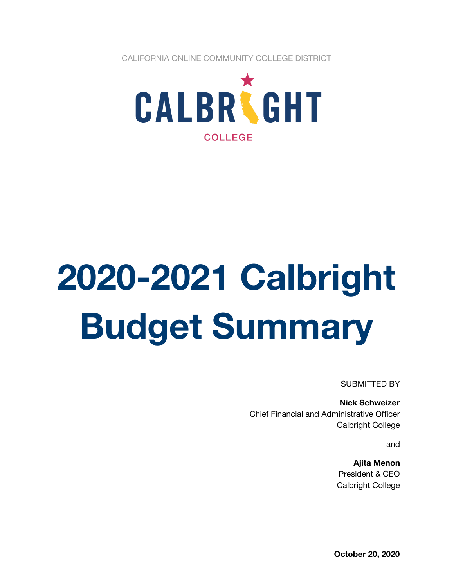CALIFORNIA ONLINE COMMUNITY COLLEGE DISTRICT



# **2020-2021 Calbright Budget Summary**

SUBMITTED BY

**Nick Schweizer** Chief Financial and Administrative Officer Calbright College

and

**Ajita Menon** President & CEO Calbright College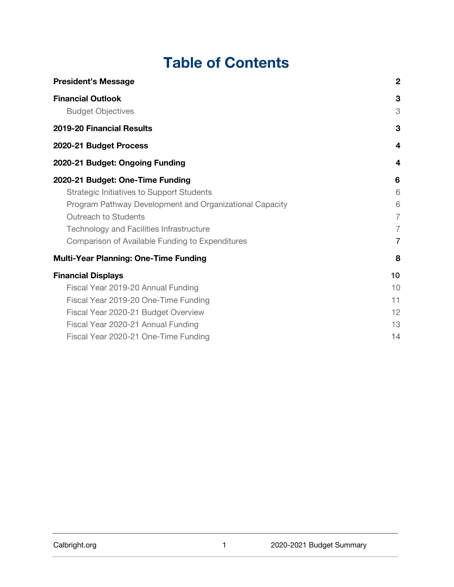## **Table of Contents**

| <b>President's Message</b>                              | $\overline{2}$ |
|---------------------------------------------------------|----------------|
| <b>Financial Outlook</b>                                | 3              |
| <b>Budget Objectives</b>                                | 3              |
| 2019-20 Financial Results                               | 3              |
| 2020-21 Budget Process                                  | 4              |
| 2020-21 Budget: Ongoing Funding                         | 4              |
| 2020-21 Budget: One-Time Funding                        | 6              |
| <b>Strategic Initiatives to Support Students</b>        | 6              |
| Program Pathway Development and Organizational Capacity | 6              |
| <b>Outreach to Students</b>                             | $\overline{7}$ |
| <b>Technology and Facilities Infrastructure</b>         | $\overline{7}$ |
| Comparison of Available Funding to Expenditures         | 7              |
| <b>Multi-Year Planning: One-Time Funding</b>            | 8              |
| <b>Financial Displays</b>                               | 10             |
| Fiscal Year 2019-20 Annual Funding                      | 10             |
| Fiscal Year 2019-20 One-Time Funding                    | 11             |
| Fiscal Year 2020-21 Budget Overview                     | 12             |
| Fiscal Year 2020-21 Annual Funding                      | 13             |
| Fiscal Year 2020-21 One-Time Funding                    | 14             |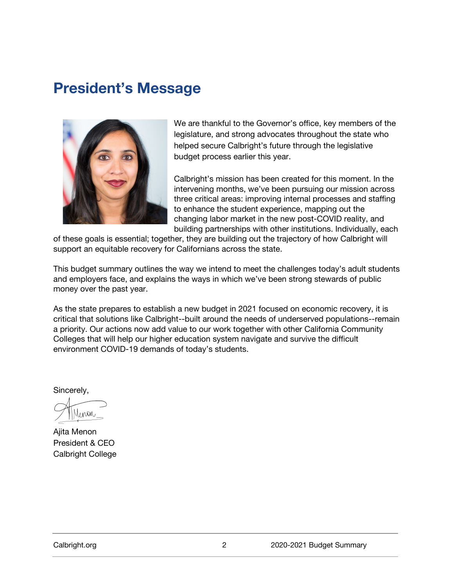## **President's Message**



We are thankful to the Governor's office, key members of the legislature, and strong advocates throughout the state who helped secure Calbright's future through the legislative budget process earlier this year.

Calbright's mission has been created for this moment. In the intervening months, we've been pursuing our mission across three critical areas: improving internal processes and staffing to enhance the student experience, mapping out the changing labor market in the new post-COVID reality, and building partnerships with other institutions. Individually, each

of these goals is essential; together, they are building out the trajectory of how Calbright will support an equitable recovery for Californians across the state.

This budget summary outlines the way we intend to meet the challenges today's adult students and employers face, and explains the ways in which we've been strong stewards of public money over the past year.

As the state prepares to establish a new budget in 2021 focused on economic recovery, it is critical that solutions like Calbright--built around the needs of underserved populations--remain a priority. Our actions now add value to our work together with other California Community Colleges that will help our higher education system navigate and survive the difficult environment COVID-19 demands of today's students.

Sincerely,

Junon

Ajita Menon President & CEO Calbright College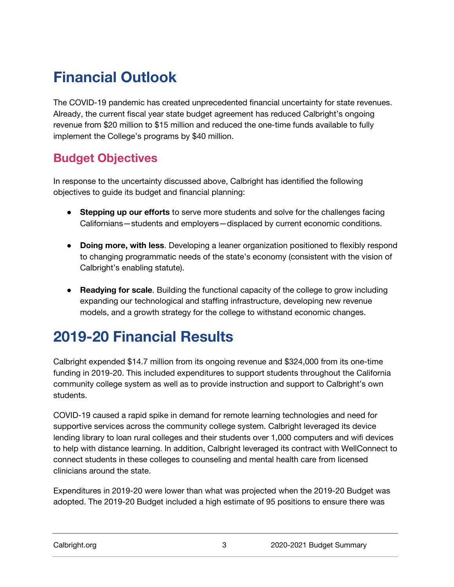# **Financial Outlook**

The COVID-19 pandemic has created unprecedented financial uncertainty for state revenues. Already, the current fiscal year state budget agreement has reduced Calbright's ongoing revenue from \$20 million to \$15 million and reduced the one-time funds available to fully implement the College's programs by \$40 million.

#### **Budget Objectives**

In response to the uncertainty discussed above, Calbright has identified the following objectives to guide its budget and financial planning:

- **Stepping up our efforts** to serve more students and solve for the challenges facing Californians—students and employers—displaced by current economic conditions.
- **Doing more, with less**. Developing a leaner organization positioned to flexibly respond to changing programmatic needs of the state's economy (consistent with the vision of Calbright's enabling statute).
- **Readying for scale**. Building the functional capacity of the college to grow including expanding our technological and staffing infrastructure, developing new revenue models, and a growth strategy for the college to withstand economic changes.

## **2019-20 Financial Results**

Calbright expended \$14.7 million from its ongoing revenue and \$324,000 from its one-time funding in 2019-20. This included expenditures to support students throughout the California community college system as well as to provide instruction and support to Calbright's own students.

COVID-19 caused a rapid spike in demand for remote learning technologies and need for supportive services across the community college system. Calbright leveraged its device lending library to loan rural colleges and their students over 1,000 computers and wifi devices to help with distance learning. In addition, Calbright leveraged its contract with WellConnect to connect students in these colleges to counseling and mental health care from licensed clinicians around the state.

Expenditures in 2019-20 were lower than what was projected when the 2019-20 Budget was adopted. The 2019-20 Budget included a high estimate of 95 positions to ensure there was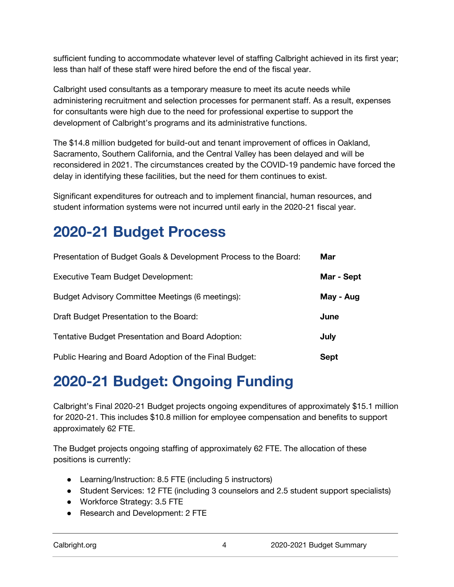sufficient funding to accommodate whatever level of staffing Calbright achieved in its first year; less than half of these staff were hired before the end of the fiscal year.

Calbright used consultants as a temporary measure to meet its acute needs while administering recruitment and selection processes for permanent staff. As a result, expenses for consultants were high due to the need for professional expertise to support the development of Calbright's programs and its administrative functions.

The \$14.8 million budgeted for build-out and tenant improvement of offices in Oakland, Sacramento, Southern California, and the Central Valley has been delayed and will be reconsidered in 2021. The circumstances created by the COVID-19 pandemic have forced the delay in identifying these facilities, but the need for them continues to exist.

Significant expenditures for outreach and to implement financial, human resources, and student information systems were not incurred until early in the 2020-21 fiscal year.

# **2020-21 Budget Process**

| Presentation of Budget Goals & Development Process to the Board: | Mar         |
|------------------------------------------------------------------|-------------|
| Executive Team Budget Development:                               | Mar - Sept  |
| Budget Advisory Committee Meetings (6 meetings):                 | May - Aug   |
| Draft Budget Presentation to the Board:                          | June        |
| Tentative Budget Presentation and Board Adoption:                | July        |
| Public Hearing and Board Adoption of the Final Budget:           | <b>Sept</b> |

## **2020-21 Budget: Ongoing Funding**

Calbright's Final 2020-21 Budget projects ongoing expenditures of approximately \$15.1 million for 2020-21. This includes \$10.8 million for employee compensation and benefits to support approximately 62 FTE.

The Budget projects ongoing staffing of approximately 62 FTE. The allocation of these positions is currently:

- Learning/Instruction: 8.5 FTE (including 5 instructors)
- Student Services: 12 FTE (including 3 counselors and 2.5 student support specialists)
- Workforce Strategy: 3.5 FTE
- Research and Development: 2 FTE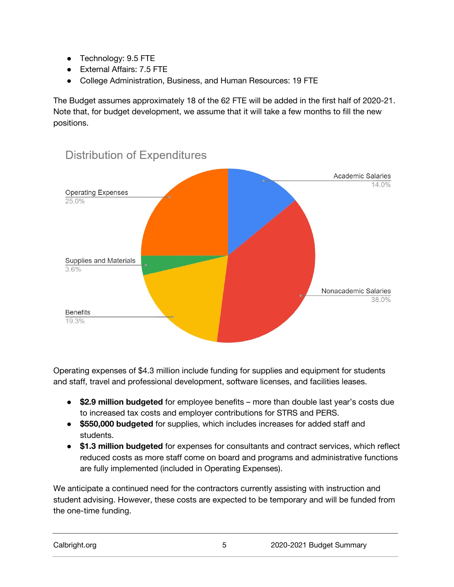- Technology: 9.5 FTE
- External Affairs: 7.5 FTE
- College Administration, Business, and Human Resources: 19 FTE

The Budget assumes approximately 18 of the 62 FTE will be added in the first half of 2020-21. Note that, for budget development, we assume that it will take a few months to fill the new positions.



### **Distribution of Expenditures**

Operating expenses of \$4.3 million include funding for supplies and equipment for students and staff, travel and professional development, software licenses, and facilities leases.

- **\$2.9 million budgeted** for employee benefits more than double last year's costs due to increased tax costs and employer contributions for STRS and PERS.
- **\$550,000 budgeted** for supplies, which includes increases for added staff and students.
- **\$1.3 million budgeted** for expenses for consultants and contract services, which reflect reduced costs as more staff come on board and programs and administrative functions are fully implemented (included in Operating Expenses).

We anticipate a continued need for the contractors currently assisting with instruction and student advising. However, these costs are expected to be temporary and will be funded from the one-time funding.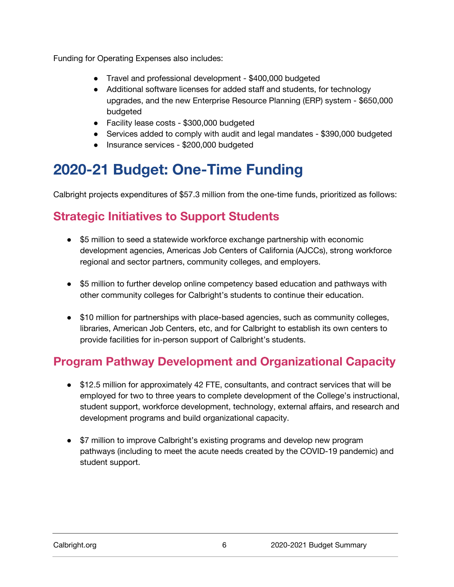Funding for Operating Expenses also includes:

- Travel and professional development \$400,000 budgeted
- Additional software licenses for added staff and students, for technology upgrades, and the new Enterprise Resource Planning (ERP) system - \$650,000 budgeted
- Facility lease costs \$300,000 budgeted
- Services added to comply with audit and legal mandates \$390,000 budgeted
- Insurance services \$200,000 budgeted

# **2020-21 Budget: One-Time Funding**

Calbright projects expenditures of \$57.3 million from the one-time funds, prioritized as follows:

#### **Strategic Initiatives to Support Students**

- \$5 million to seed a statewide workforce exchange partnership with economic development agencies, Americas Job Centers of California (AJCCs), strong workforce regional and sector partners, community colleges, and employers.
- \$5 million to further develop online competency based education and pathways with other community colleges for Calbright's students to continue their education.
- \$10 million for partnerships with place-based agencies, such as community colleges, libraries, American Job Centers, etc, and for Calbright to establish its own centers to provide facilities for in-person support of Calbright's students.

#### **Program Pathway Development and Organizational Capacity**

- \$12.5 million for approximately 42 FTE, consultants, and contract services that will be employed for two to three years to complete development of the College's instructional, student support, workforce development, technology, external affairs, and research and development programs and build organizational capacity.
- \$7 million to improve Calbright's existing programs and develop new program pathways (including to meet the acute needs created by the COVID-19 pandemic) and student support.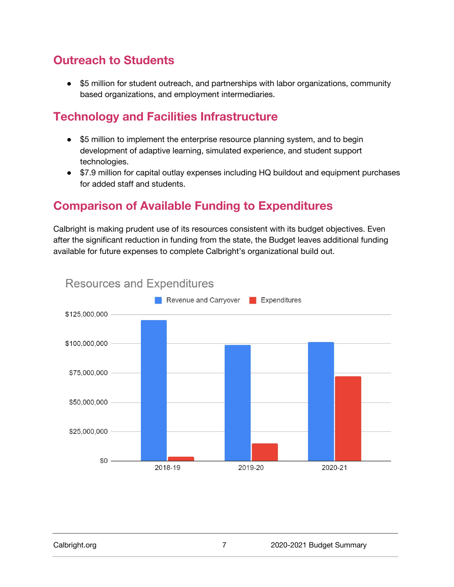#### **Outreach to Students**

● \$5 million for student outreach, and partnerships with labor organizations, community based organizations, and employment intermediaries.

#### **Technology and Facilities Infrastructure**

- \$5 million to implement the enterprise resource planning system, and to begin development of adaptive learning, simulated experience, and student support technologies.
- \$7.9 million for capital outlay expenses including HQ buildout and equipment purchases for added staff and students.

#### **Comparison of Available Funding to Expenditures**

Calbright is making prudent use of its resources consistent with its budget objectives. Even after the significant reduction in funding from the state, the Budget leaves additional funding available for future expenses to complete Calbright's organizational build out.



#### **Resources and Expenditures**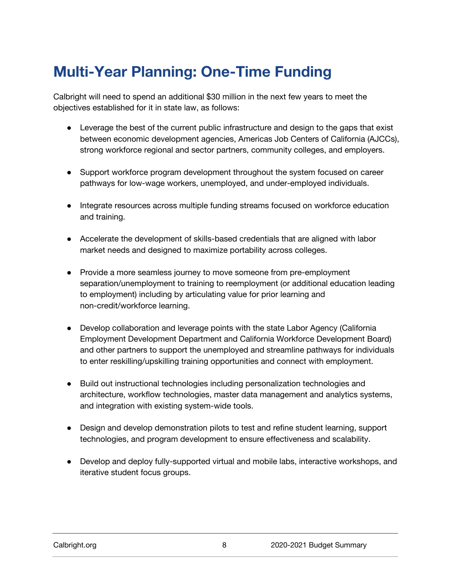# **Multi-Year Planning: One-Time Funding**

Calbright will need to spend an additional \$30 million in the next few years to meet the objectives established for it in state law, as follows:

- Leverage the best of the current public infrastructure and design to the gaps that exist between economic development agencies, Americas Job Centers of California (AJCCs), strong workforce regional and sector partners, community colleges, and employers.
- Support workforce program development throughout the system focused on career pathways for low-wage workers, unemployed, and under-employed individuals.
- Integrate resources across multiple funding streams focused on workforce education and training.
- Accelerate the development of skills-based credentials that are aligned with labor market needs and designed to maximize portability across colleges.
- Provide a more seamless journey to move someone from pre-employment separation/unemployment to training to reemployment (or additional education leading to employment) including by articulating value for prior learning and non-credit/workforce learning.
- Develop collaboration and leverage points with the state Labor Agency (California Employment Development Department and California Workforce Development Board) and other partners to support the unemployed and streamline pathways for individuals to enter reskilling/upskilling training opportunities and connect with employment.
- Build out instructional technologies including personalization technologies and architecture, workflow technologies, master data management and analytics systems, and integration with existing system-wide tools.
- Design and develop demonstration pilots to test and refine student learning, support technologies, and program development to ensure effectiveness and scalability.
- Develop and deploy fully-supported virtual and mobile labs, interactive workshops, and iterative student focus groups.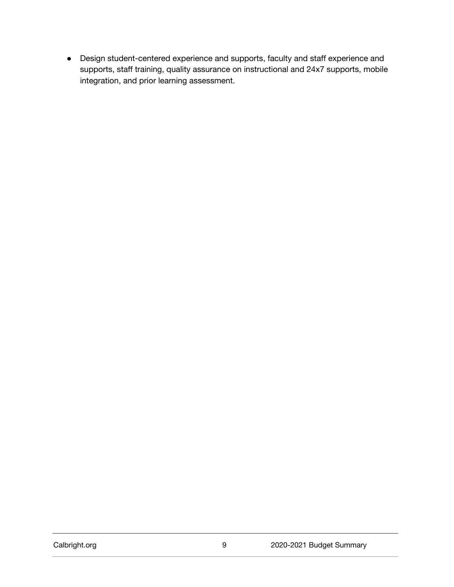● Design student-centered experience and supports, faculty and staff experience and supports, staff training, quality assurance on instructional and 24x7 supports, mobile integration, and prior learning assessment.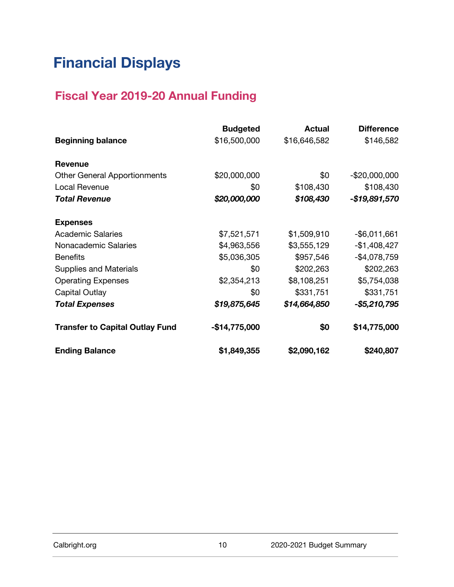# **Financial Displays**

#### **Fiscal Year 2019-20 Annual Funding**

|                                        | <b>Budgeted</b> | <b>Actual</b> | <b>Difference</b> |
|----------------------------------------|-----------------|---------------|-------------------|
| <b>Beginning balance</b>               | \$16,500,000    | \$16,646,582  | \$146,582         |
| Revenue                                |                 |               |                   |
| <b>Other General Apportionments</b>    | \$20,000,000    | \$0           | $-$20,000,000$    |
| Local Revenue                          | \$0             | \$108,430     | \$108,430         |
| <b>Total Revenue</b>                   | \$20,000,000    | \$108,430     | -\$19,891,570     |
| <b>Expenses</b>                        |                 |               |                   |
| <b>Academic Salaries</b>               | \$7,521,571     | \$1,509,910   | $-$ \$6,011,661   |
| Nonacademic Salaries                   | \$4,963,556     | \$3,555,129   | $-$1,408,427$     |
| <b>Benefits</b>                        | \$5,036,305     | \$957,546     | $-$4,078,759$     |
| <b>Supplies and Materials</b>          | \$0             | \$202,263     | \$202,263         |
| <b>Operating Expenses</b>              | \$2,354,213     | \$8,108,251   | \$5,754,038       |
| Capital Outlay                         | \$0             | \$331,751     | \$331,751         |
| <b>Total Expenses</b>                  | \$19,875,645    | \$14,664,850  | -\$5,210,795      |
| <b>Transfer to Capital Outlay Fund</b> | $-$14,775,000$  | \$0           | \$14,775,000      |
| <b>Ending Balance</b>                  | \$1,849,355     | \$2,090,162   | \$240,807         |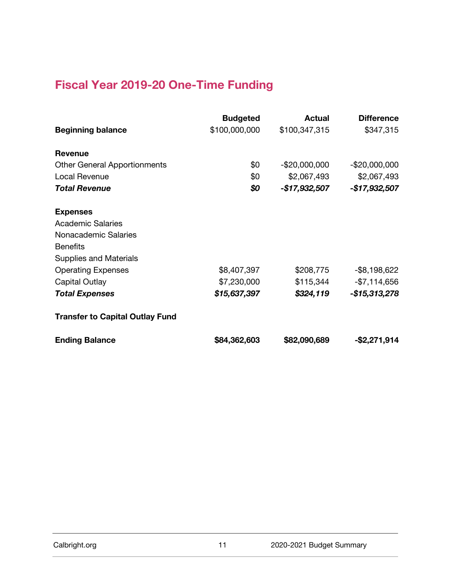#### **Fiscal Year 2019-20 One-Time Funding**

|                                        | <b>Budgeted</b> | <b>Actual</b>  | <b>Difference</b> |
|----------------------------------------|-----------------|----------------|-------------------|
| <b>Beginning balance</b>               | \$100,000,000   | \$100,347,315  | \$347,315         |
| <b>Revenue</b>                         |                 |                |                   |
| <b>Other General Apportionments</b>    | \$0             | $-$20,000,000$ | $-$20,000,000$    |
| Local Revenue                          | \$0             | \$2,067,493    | \$2,067,493       |
| <b>Total Revenue</b>                   | \$0             | -\$17,932,507  | -\$17,932,507     |
| <b>Expenses</b>                        |                 |                |                   |
| <b>Academic Salaries</b>               |                 |                |                   |
| Nonacademic Salaries                   |                 |                |                   |
| <b>Benefits</b>                        |                 |                |                   |
| <b>Supplies and Materials</b>          |                 |                |                   |
| <b>Operating Expenses</b>              | \$8,407,397     | \$208,775      | $-$ \$8,198,622   |
| Capital Outlay                         | \$7,230,000     | \$115,344      | $-$7,114,656$     |
| <b>Total Expenses</b>                  | \$15,637,397    | \$324,119      | -\$15,313,278     |
| <b>Transfer to Capital Outlay Fund</b> |                 |                |                   |
| <b>Ending Balance</b>                  | \$84,362,603    | \$82,090,689   | -\$2,271,914      |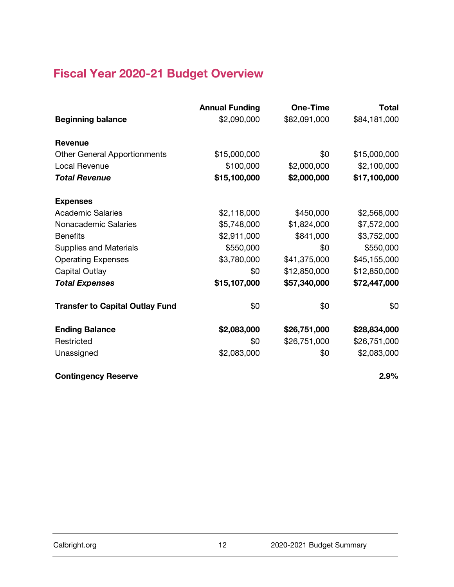## **Fiscal Year 2020-21 Budget Overview**

|                                        | <b>Annual Funding</b> | One-Time     | <b>Total</b> |
|----------------------------------------|-----------------------|--------------|--------------|
| <b>Beginning balance</b>               | \$2,090,000           | \$82,091,000 | \$84,181,000 |
| <b>Revenue</b>                         |                       |              |              |
| <b>Other General Apportionments</b>    | \$15,000,000          | \$0          | \$15,000,000 |
| Local Revenue                          | \$100,000             | \$2,000,000  | \$2,100,000  |
| <b>Total Revenue</b>                   | \$15,100,000          | \$2,000,000  | \$17,100,000 |
| <b>Expenses</b>                        |                       |              |              |
| <b>Academic Salaries</b>               | \$2,118,000           | \$450,000    | \$2,568,000  |
| Nonacademic Salaries                   | \$5,748,000           | \$1,824,000  | \$7,572,000  |
| <b>Benefits</b>                        | \$2,911,000           | \$841,000    | \$3,752,000  |
| <b>Supplies and Materials</b>          | \$550,000             | \$0          | \$550,000    |
| <b>Operating Expenses</b>              | \$3,780,000           | \$41,375,000 | \$45,155,000 |
| <b>Capital Outlay</b>                  | \$0                   | \$12,850,000 | \$12,850,000 |
| <b>Total Expenses</b>                  | \$15,107,000          | \$57,340,000 | \$72,447,000 |
| <b>Transfer to Capital Outlay Fund</b> | \$0                   | \$0          | \$0          |
| <b>Ending Balance</b>                  | \$2,083,000           | \$26,751,000 | \$28,834,000 |
| Restricted                             | \$0                   | \$26,751,000 | \$26,751,000 |
| Unassigned                             | \$2,083,000           | \$0          | \$2,083,000  |
| <b>Contingency Reserve</b>             |                       |              | 2.9%         |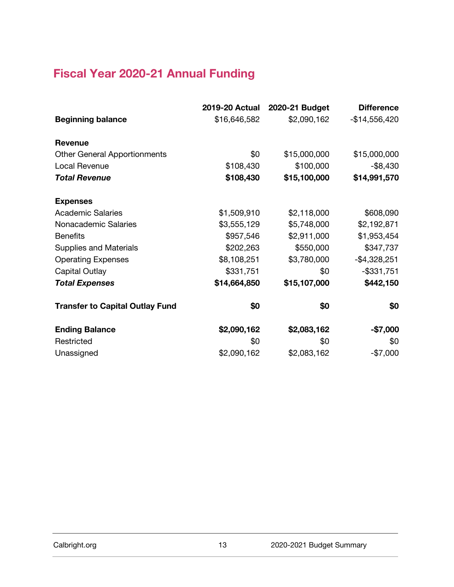## **Fiscal Year 2020-21 Annual Funding**

|                                        | 2019-20 Actual | 2020-21 Budget | <b>Difference</b> |
|----------------------------------------|----------------|----------------|-------------------|
| <b>Beginning balance</b>               | \$16,646,582   | \$2,090,162    | $-$14,556,420$    |
| <b>Revenue</b>                         |                |                |                   |
| <b>Other General Apportionments</b>    | \$0            | \$15,000,000   | \$15,000,000      |
| Local Revenue                          | \$108,430      | \$100,000      | $-$ \$8,430       |
| <b>Total Revenue</b>                   | \$108,430      | \$15,100,000   | \$14,991,570      |
| <b>Expenses</b>                        |                |                |                   |
| <b>Academic Salaries</b>               | \$1,509,910    | \$2,118,000    | \$608,090         |
| Nonacademic Salaries                   | \$3,555,129    | \$5,748,000    | \$2,192,871       |
| <b>Benefits</b>                        | \$957,546      | \$2,911,000    | \$1,953,454       |
| <b>Supplies and Materials</b>          | \$202,263      | \$550,000      | \$347,737         |
| <b>Operating Expenses</b>              | \$8,108,251    | \$3,780,000    | $-$4,328,251$     |
| Capital Outlay                         | \$331,751      | \$0            | $-$ \$331,751     |
| <b>Total Expenses</b>                  | \$14,664,850   | \$15,107,000   | \$442,150         |
| <b>Transfer to Capital Outlay Fund</b> | \$0            | \$0            | \$0               |
| <b>Ending Balance</b>                  | \$2,090,162    | \$2,083,162    | $-$7,000$         |
| Restricted                             | \$0            | \$0            | \$0               |
| Unassigned                             | \$2,090,162    | \$2,083,162    | $-$7,000$         |